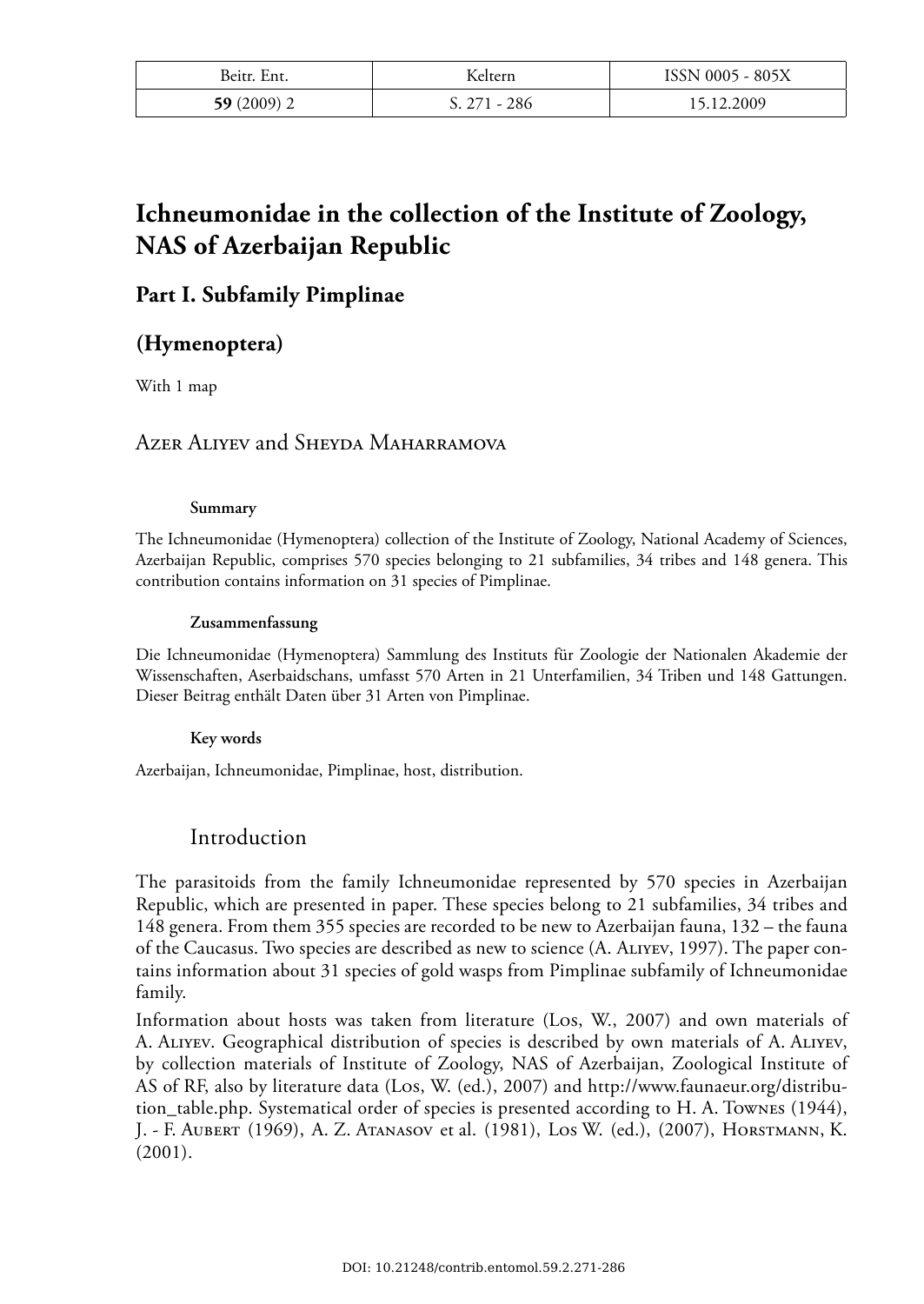| Beitr. Ent.  | Keltern        | ISSN 0005 - 805X |
|--------------|----------------|------------------|
| $59(2009)$ 2 | $S. 271 - 286$ | 15.12.2009       |

# **Ichneumonidae in the collection of the Institute of Zoology, NAS of Azerbaijan Republic**

## **Part I. Subfamily Pimplinae**

## **(Hymenoptera)**

With 1 map

## AZER ALIYEV and SHEYDA MAHARRAMOVA

#### **Summary**

The Ichneumonidae (Hymenoptera) collection of the Institute of Zoology, National Academy of Sciences, Azerbaijan Republic, comprises 570 species belonging to 21 subfamilies, 34 tribes and 148 genera. This contribution contains information on 31 species of Pimplinae.

#### **Zusammenfassung**

Die Ichneumonidae (Hymenoptera) Sammlung des Instituts für Zoologie der Nationalen Akademie der Wissenschaften, Aserbaidschans, umfasst 570 Arten in 21 Unterfamilien, 34 Triben und 148 Gattungen. Dieser Beitrag enthält Daten über 31 Arten von Pimplinae.

#### **Key words**

Azerbaijan, Ichneumonidae, Pimplinae, host, distribution.

## Introduction

The parasitoids from the family Ichneumonidae represented by 570 species in Azerbaijan Republic, which are presented in paper. These species belong to 21 subfamilies, 34 tribes and 148 genera. From them 355 species are recorded to be new to Azerbaijan fauna, 132 – the fauna of the Caucasus. Two species are described as new to science (A. ALIYEV, 1997). The paper contains information about 31 species of gold wasps from Pimplinae subfamily of Ichneumonidae family.

Information about hosts was taken from literature (LOS, W., 2007) and own materials of A. ALIYEV. Geographical distribution of species is described by own materials of A. ALIYEV, by collection materials of Institute of Zoology, NAS of Azerbaijan, Zoological Institute of AS of RF, also by literature data (LOS, W. (ed.), 2007) and http://www.faunaeur.org/distribution\_table.php. Systematical order of species is presented according to H. A. TOWNES (1944), J. - F. AUBERT (1969), A. Z. ATANASOV et al. (1981), LOS W. (ed.), (2007), HORSTMANN, K. (2001).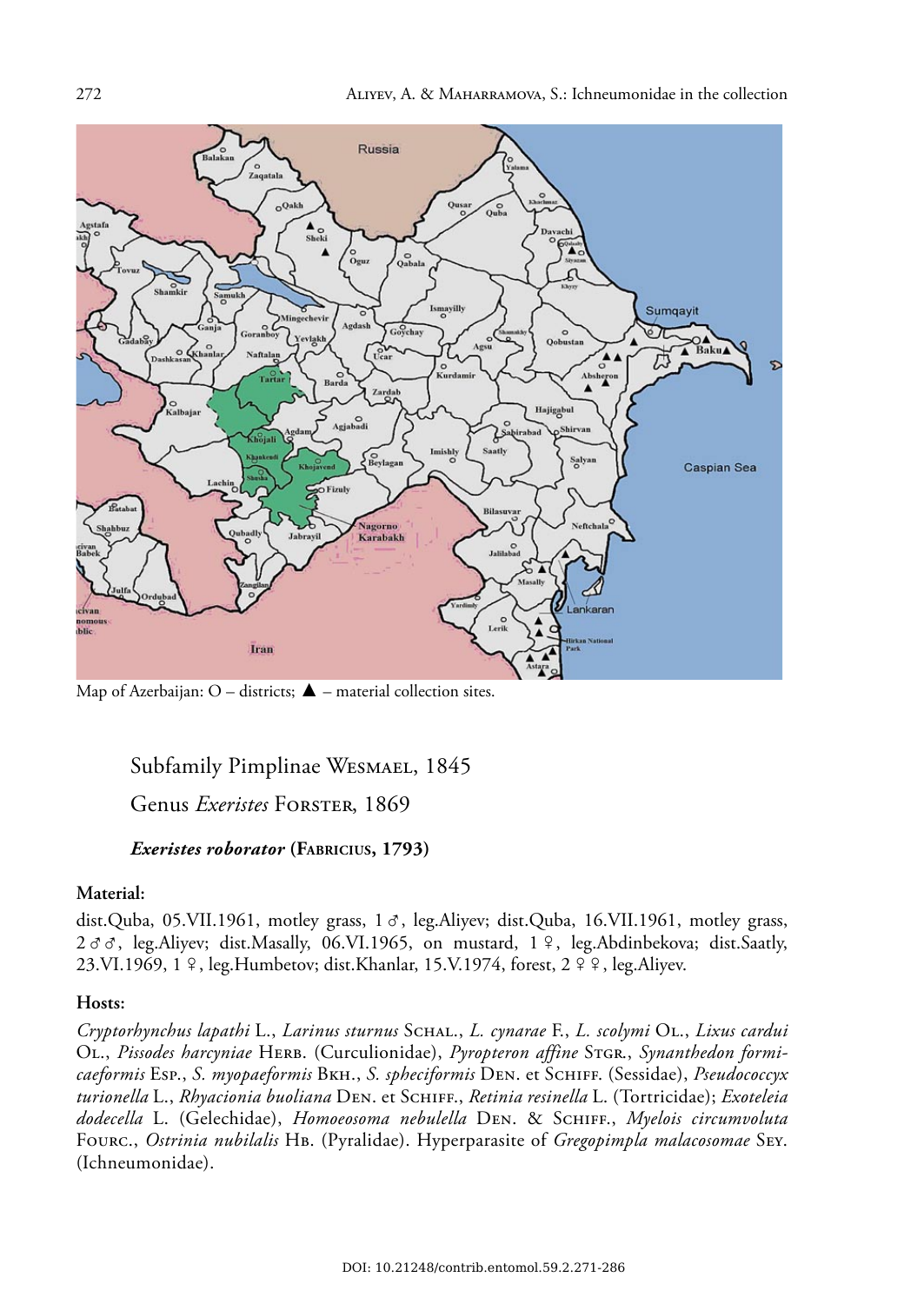

Map of Azerbaijan: O – districts;  $\triangle$  – material collection sites.

## Subfamily Pimplinae WESMAEL, 1845

## Genus *Exeristes* FORSTER, 1869

## *Exeristes roborator* **(FABRICIUS, 1793)**

#### **Material:**

dist.Quba, 05.VII.1961, motley grass,  $1 \sigma$ , leg.Aliyev; dist.Quba, 16.VII.1961, motley grass,  $2 \sigma \sigma$ , leg.Aliyev; dist.Masally, 06.VI.1965, on mustard, 1 º, leg.Abdinbekova; dist.Saatly, 23.VI.1969, 1 º, leg.Humbetov; dist.Khanlar, 15.V.1974, forest, 2 º º, leg.Aliyev.

## **Hosts:**

*Cryptorhynchus lapathi* L., *Larinus sturnus* SCHAL., *L. cynarae* F., *L. scolymi* OL., *Lixus cardui*  OL., *Pissodes harcyniae* HERB. (Curculionidae), *Pyropteron affine* STGR., *Synanthedon formicaeformis* ESP., *S. myopaeformis* BKH., *S. spheciformis* DEN. et SCHIFF. (Sessidae), *Pseudococcyx turionella* L., *Rhyacionia buoliana* DEN. et SCHIFF., *Retinia resinella* L. (Tortricidae); *Exoteleia dodecella* L. (Gelechidae), *Homoeosoma nebulella* DEN. & SCHIFF., *Myelois circumvoluta* FOURC., *Ostrinia nubilalis* HB. (Pyralidae). Hyperparasite of *Gregopimpla malacosomae* SEY. (Ichneumonidae).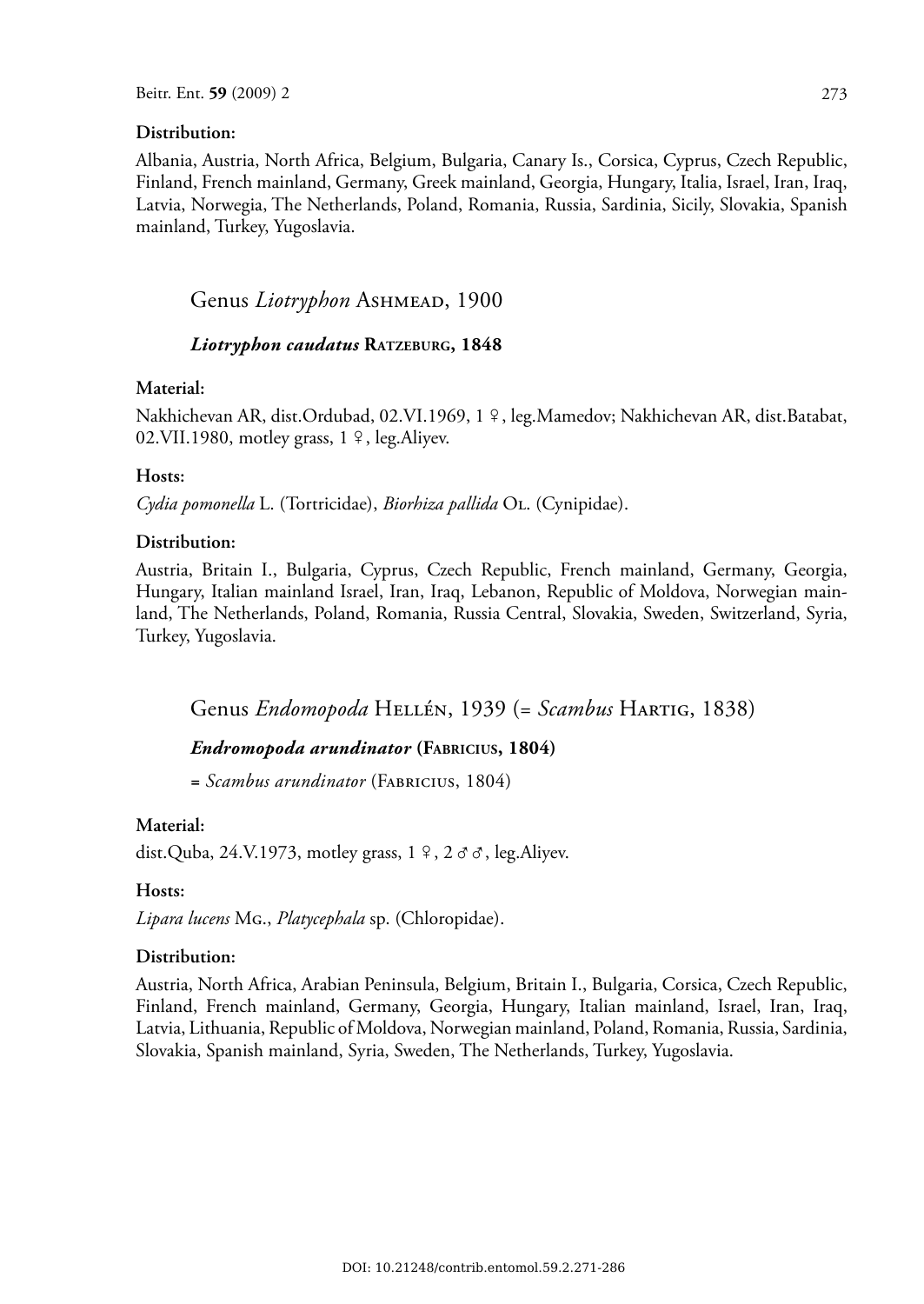#### **Distribution:**

Albania, Austria, North Africa, Belgium, Bulgaria, Canary Is., Corsica, Cyprus, Czech Republic, Finland, French mainland, Germany, Greek mainland, Georgia, Hungary, Italia, Israel, Iran, Iraq, Latvia, Norwegia, The Netherlands, Poland, Romania, Russia, Sardinia, Sicily, Slovakia, Spanish mainland, Turkey, Yugoslavia.

## Genus *Liotryphon* ASHMEAD, 1900

## *Liotryphon caudatus* **RATZEBURG, 1848**

#### **Material:**

Nakhichevan AR, dist.Ordubad, 02.VI.1969, 1 º, leg.Mamedov; Nakhichevan AR, dist.Batabat, 02. VII. 1980, motley grass,  $1 \nvert 9$ , leg. Aliyev.

#### **Hosts:**

*Cydia pomonella* L. (Tortricidae), *Biorhiza pallida* OL. (Cynipidae).

## **Distribution:**

Austria, Britain I., Bulgaria, Cyprus, Czech Republic, French mainland, Germany, Georgia, Hungary, Italian mainland Israel, Iran, Iraq, Lebanon, Republic of Moldova, Norwegian mainland, The Netherlands, Poland, Romania, Russia Central, Slovakia, Sweden, Switzerland, Syria, Turkey, Yugoslavia.

Genus *Endomopoda* HELLÉN, 1939 (= *Scambus* HARTIG, 1838)

## *Endromopoda arundinator* **(FABRICIUS, 1804)**

*= Scambus arundinator* (FABRICIUS, 1804)

#### **Material:**

dist.Quba, 24.V.1973, motley grass,  $1 \n9$ ,  $2 \n9 \n9$ , leg.Aliyev.

#### **Hosts:**

*Lipara lucens* MG., *Platycephala* sp. (Chloropidae).

#### **Distribution:**

Austria, North Africa, Arabian Peninsula, Belgium, Britain I., Bulgaria, Corsica, Czech Republic, Finland, French mainland, Germany, Georgia, Hungary, Italian mainland, Israel, Iran, Iraq, Latvia, Lithuania, Republic of Moldova, Norwegian mainland, Poland, Romania, Russia, Sardinia, Slovakia, Spanish mainland, Syria, Sweden, The Netherlands, Turkey, Yugoslavia.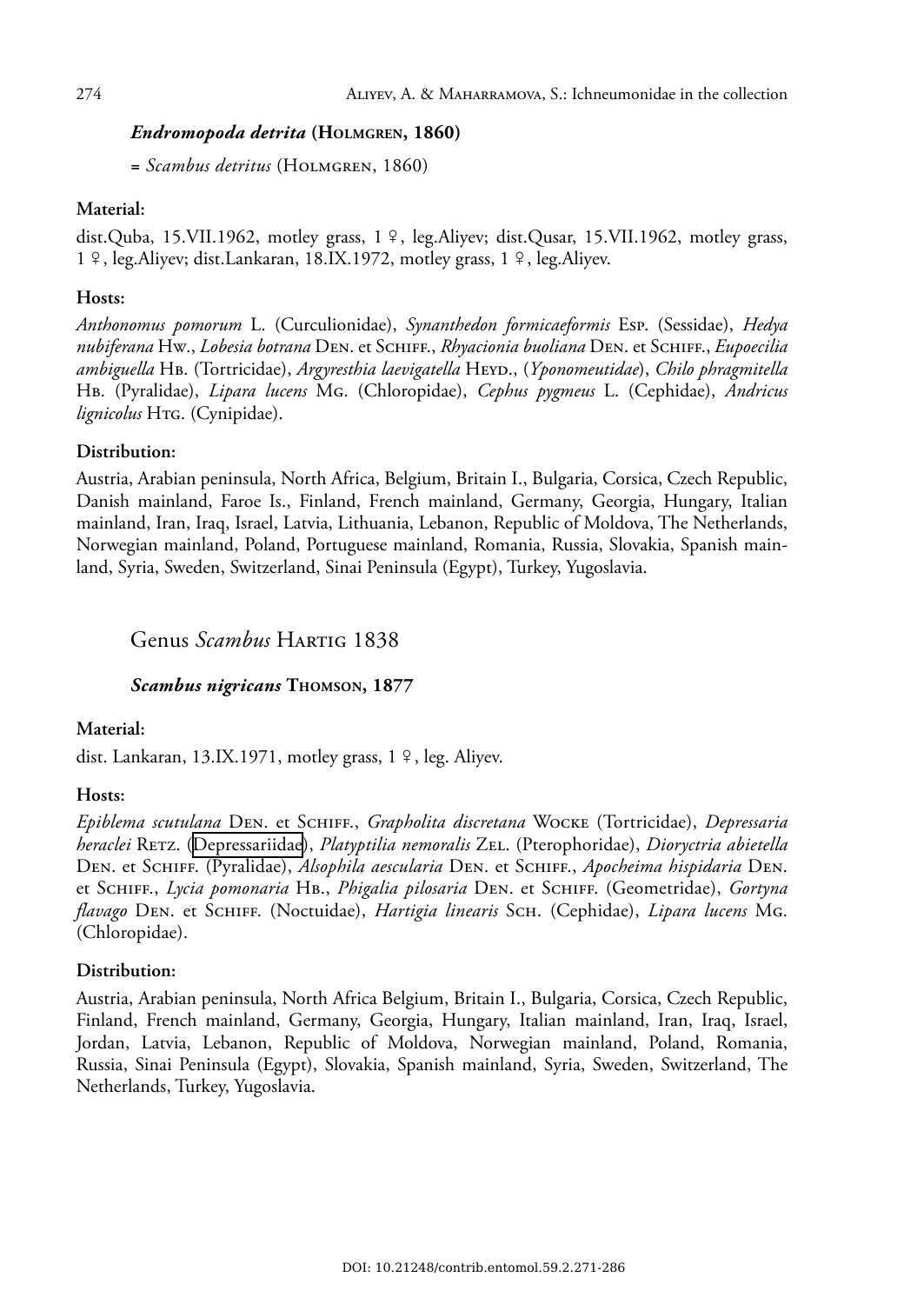## *Endromopoda detrita* **(HOLMGREN, 1860)**

*= Scambus detritus* (HOLMGREN, 1860)

## **Material:**

dist.Quba, 15.VII.1962, motley grass,  $1 \nvert 9$ , leg.Aliyev; dist.Qusar, 15.VII.1962, motley grass,  $1 \n9$ , leg.Aliyev; dist.Lankaran, 18.IX.1972, motley grass,  $1 \n9$ , leg.Aliyev.

## **Hosts:**

*Anthonomus pomorum* L. (Curculionidae), *Synanthedon formicaeformis* ESP. (Sessidae), *Hedya nubiferana* HW., *Lobesia botrana* DEN. et SCHIFF., *Rhyacionia buoliana* DEN. et SCHIFF., *Eupoecilia ambiguella* HB. (Tortricidae), *Argyresthia laevigatella* HEYD., (*Yponomeutidae*), *Chilo phragmitella* HB. (Pyralidae), *Lipara lucens* MG. (Chloropidae), *Cephus pygmeus* L. (Cephidae), *Andricus lignicolus* HTG. (Cynipidae).

## **Distribution:**

Austria, Arabian peninsula, North Africa, Belgium, Britain I., Bulgaria, Corsica, Czech Republic, Danish mainland, Faroe Is., Finland, French mainland, Germany, Georgia, Hungary, Italian mainland, Iran, Iraq, Israel, Latvia, Lithuania, Lebanon, Republic of Moldova, The Netherlands, Norwegian mainland, Poland, Portuguese mainland, Romania, Russia, Slovakia, Spanish mainland, Syria, Sweden, Switzerland, Sinai Peninsula (Egypt), Turkey, Yugoslavia.

## Genus *Scambus* HARTIG 1838

## $Scambus$  *nigricans* THOMSON, 1877

## **Material:**

dist. Lankaran, 13.IX.1971, motley grass,  $1 \nvert 9$ , leg. Aliyev.

## **Hosts:**

*Epiblema scutulana* DEN. et SCHIFF., *Grapholita discretana* WOCKE (Tortricidae), *Depressaria heraclei* RETZ. ([Depressariidae\)](http://www.biolib.cz/en/taxon/id17254/), *Platyptilia nemoralis* ZEL. (Pterophoridae), *Dioryctria abietella* DEN. et SCHIFF. (Pyralidae), *Alsophila aescularia* DEN. et SCHIFF., *Apocheima hispidaria* DEN. et SCHIFF., *Lycia pomonaria* HB., *Phigalia pilosaria* DEN. et SCHIFF. (Geometridae), *Gortyna flavago* DEN. et SCHIFF. (Noctuidae), *Hartigia linearis* SCH. (Cephidae), *Lipara lucens* MG. (Chloropidae).

## **Distribution:**

Austria, Arabian peninsula, North Africa Belgium, Britain I., Bulgaria, Corsica, Czech Republic, Finland, French mainland, Germany, Georgia, Hungary, Italian mainland, Iran, Iraq, Israel, Jordan, Latvia, Lebanon, Republic of Moldova, Norwegian mainland, Poland, Romania, Russia, Sinai Peninsula (Egypt), Slovakia, Spanish mainland, Syria, Sweden, Switzerland, The Netherlands, Turkey, Yugoslavia.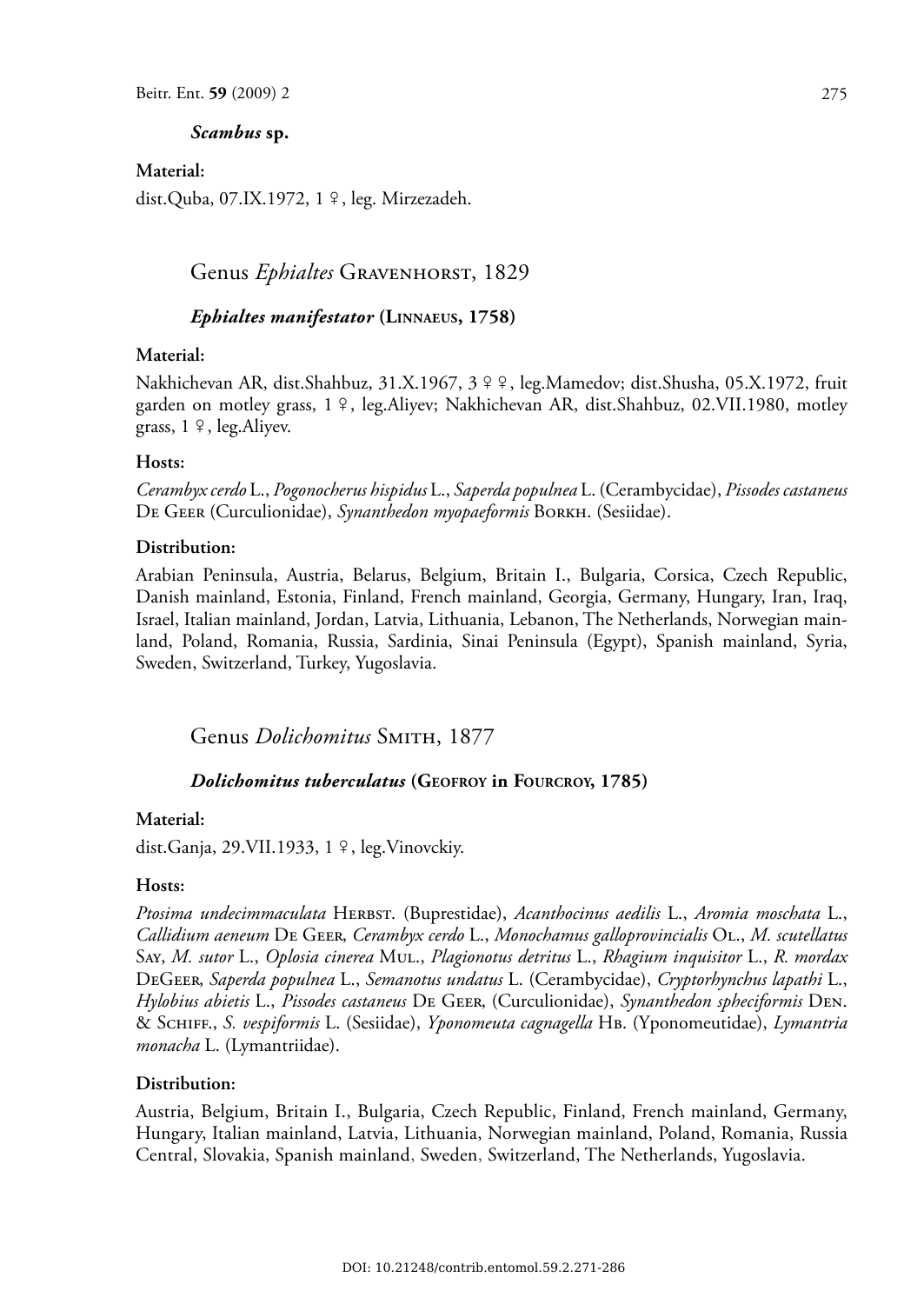#### *Scambus* **sp.**

**Material:**

dist.Quba, 07.IX.1972, 1 º, leg. Mirzezadeh.

## Genus *Ephialtes* GRAVENHORST, 1829

#### *Ephialtes manifestator* **(LINNAEUS, 1758)**

#### **Material:**

Nakhichevan AR, dist.Shahbuz, 31.X.1967, 3 º º, leg.Mamedov; dist.Shusha, 05.X.1972, fruit garden on motley grass, 1 º, leg.Aliyev; Nakhichevan AR, dist.Shahbuz, 02.VII.1980, motley grass,  $1 \n9$ , leg. Aliyev.

#### **Hosts:**

*Cerambyx cerdo* L., *Pogonocherus hispidus* L., *Saperda populnea* L. (Cerambycidae), *Pissodes castaneus*  DE GEER (Curculionidae), *Synanthedon myopaeformis* BORKH. (Sesiidae).

#### **Distribution:**

Arabian Peninsula, Austria, Belarus, Belgium, Britain I., Bulgaria, Corsica, Czech Republic, Danish mainland, Estonia, Finland, French mainland, Georgia, Germany, Hungary, Iran, Iraq, Israel, Italian mainland, Jordan, Latvia, Lithuania, Lebanon, The Netherlands, Norwegian mainland, Poland, Romania, Russia, Sardinia, Sinai Peninsula (Egypt), Spanish mainland, Syria, Sweden, Switzerland, Turkey, Yugoslavia.

Genus *Dolichomitus* SMITH, 1877

#### *Dolichomitus tuberculatus* **(GEOFROY in FOURCROY, 1785)**

#### **Material:**

dist.Ganja, 29.VII.1933, 1 º, leg.Vinovckiy.

#### **Hosts:**

*Ptosima undecimmaculata* HERBST. (Buprestidae), *Acanthocinus aedilis* L., *Aromia moschata* L., *Callidium aeneum* DE GEER, *Cerambyx cerdo* L., *Monochamus galloprovincialis* OL., *M. scutellatus* SAY, *M. sutor* L., *Oplosia cinerea* MUL., *Plagionotus detritus* L., *Rhagium inquisitor* L., *R. mordax* DEGEER, *Saperda populnea* L., *Semanotus undatus* L. (Cerambycidae), *Cryptorhynchus lapathi* L., *Hylobius abietis* L., *Pissodes castaneus* DE GEER, (Curculionidae), *Synanthedon spheciformis* DEN. & SCHIFF., *S. vespiformis* L. (Sesiidae), *Yponomeuta cagnagella* HB. (Yponomeutidae), *Lymantria monacha* L. (Lymantriidae).

#### **Distribution:**

Austria, Belgium, Britain I., Bulgaria, Czech Republic, Finland, French mainland, Germany, Hungary, Italian mainland, Latvia, Lithuania, Norwegian mainland, Poland, Romania, Russia Central, Slovakia, Spanish mainland, Sweden, Switzerland, The Netherlands, Yugoslavia.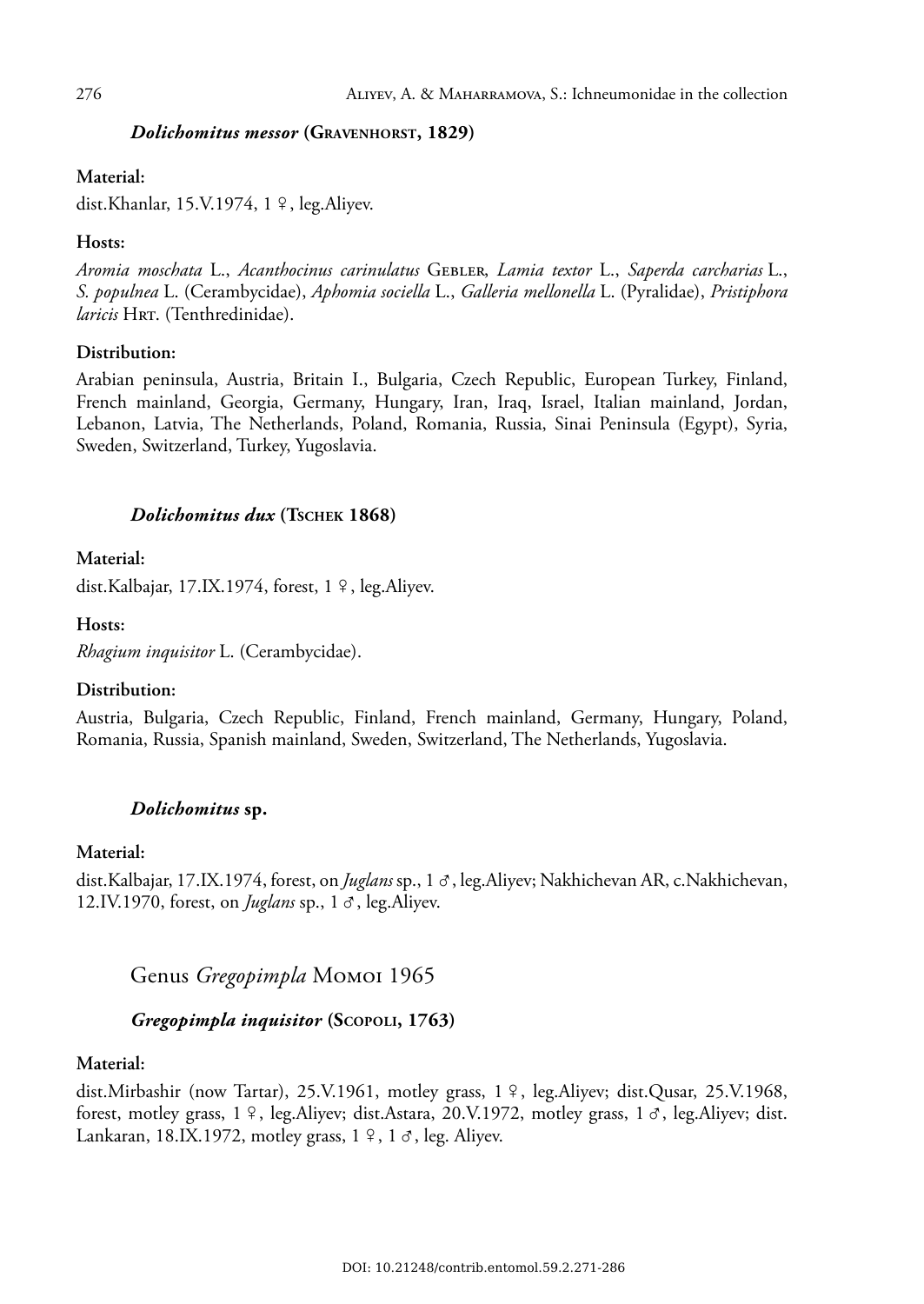## *Dolichomitus messor* **(GRAVENHORST, 1829)**

### **Material:**

dist.Khanlar, 15.V.1974, 1 º, leg.Aliyev.

## **Hosts:**

*Aromia moschata* L., *Acanthocinus carinulatus* GEBLER, *Lamia textor* L., *Saperda carcharias* L., *S. populnea* L. (Cerambycidae), *Aphomia sociella* L., *Galleria mellonella* L. (Pyralidae), *Pristiphora laricis* HRT. (Tenthredinidae).

## **Distribution:**

Arabian peninsula, Austria, Britain I., Bulgaria, Czech Republic, European Turkey, Finland, French mainland, Georgia, Germany, Hungary, Iran, Iraq, Israel, Italian mainland, Jordan, Lebanon, Latvia, The Netherlands, Poland, Romania, Russia, Sinai Peninsula (Egypt), Syria, Sweden, Switzerland, Turkey, Yugoslavia.

## $Dolichomitus$  *dux* (TSCHEK 1868)

## **Material:**

dist.Kalbajar, 17.IX.1974, forest, 1 º, leg.Aliyev.

## **Hosts:**

*Rhagium inquisitor* L. (Cerambycidae).

## **Distribution:**

Austria, Bulgaria, Czech Republic, Finland, French mainland, Germany, Hungary, Poland, Romania, Russia, Spanish mainland, Sweden, Switzerland, The Netherlands, Yugoslavia.

## *Dolichomitus* **sp.**

## **Material:**

dist.Kalbajar, 17.IX.1974, forest, on *Juglans* sp., 1  $\sigma$ , leg.Aliyev; Nakhichevan AR, c.Nakhichevan, 12.IV.1970, forest, on *Juglans* sp.,  $1 \circ$ , leg.Aliyev.

## Genus *Gregopimpla* MOMOI 1965

## *Gregopimpla inquisitor* **(SCOPOLI, 1763)**

#### **Material:**

dist.Mirbashir (now Tartar), 25.V.1961, motley grass,  $1 \nvert 9$ , leg.Aliyev; dist.Qusar, 25.V.1968, forest, motley grass,  $1 \nvert 2$ , leg.Aliyev; dist.Astara, 20.V.1972, motley grass,  $1 \nvert 3$ , leg.Aliyev; dist. Lankaran, 18.IX.1972, motley grass,  $1 \n9$ , 1  $\sigma$ , leg. Aliyev.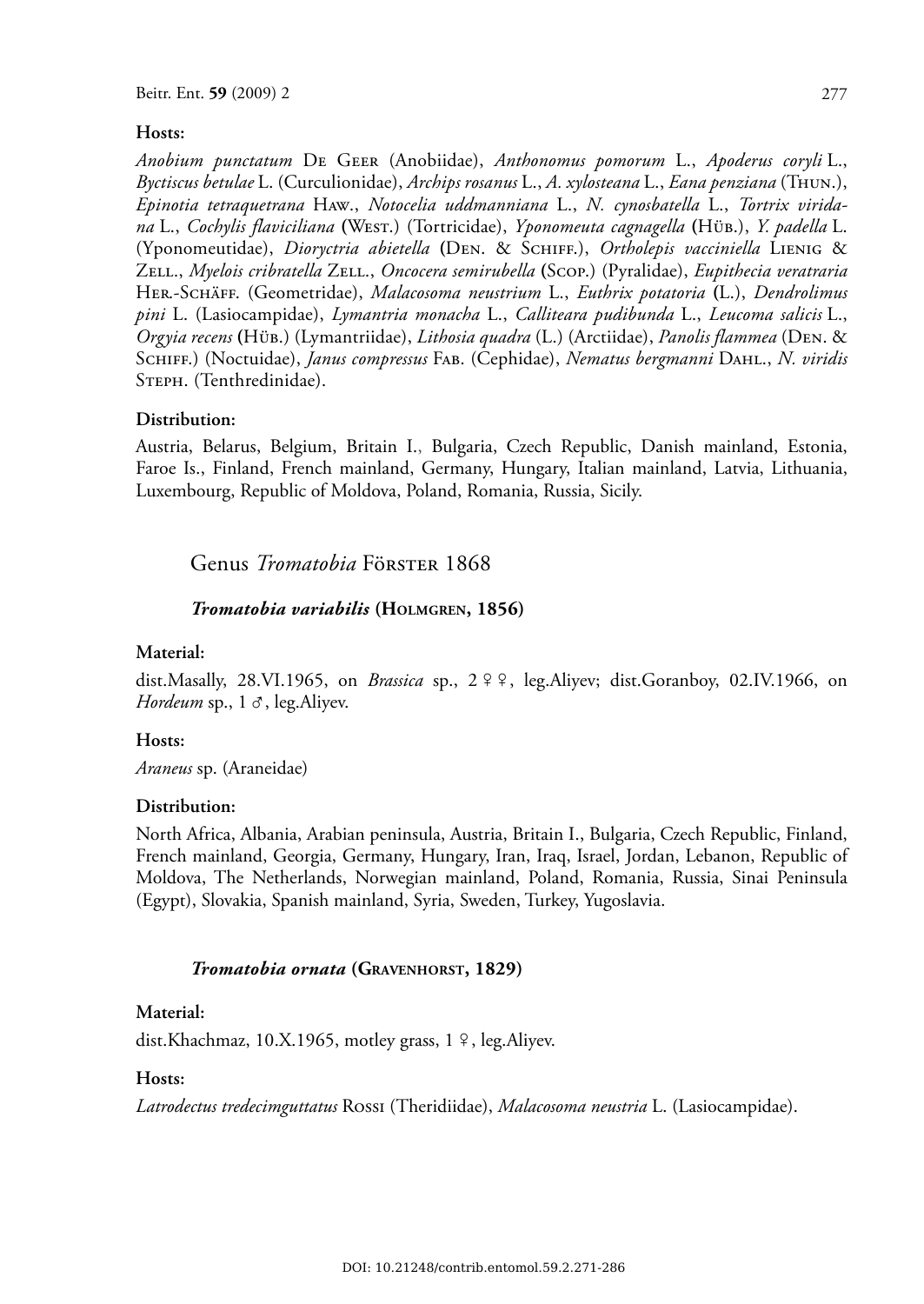#### **Hosts:**

*Anobium punctatum* DE GEER (Anobiidae), *Anthonomus pomorum* L., *Apoderus coryli* L., *Byctiscus betulae* L. (Curculionidae), *Archips rosanus* L., *A. xylosteana* L., *Eana penziana* (THUN.), *Epinotia tetraquetrana* HAW., *Notocelia uddmanniana* L., *N. cynosbatella* L., *Tortrix viridana* L., *Cochylis flaviciliana* **(**WEST.) (Tortricidae), *Yponomeuta cagnagella* **(**HÜB.), *Y. padella* L. (Yponomeutidae), *Dioryctria abietella* **(**DEN. & SCHIFF.), *Ortholepis vacciniella* LIENIG & ZELL., *Myelois cribratella* ZELL., *Oncocera semirubella* **(**SCOP.) (Pyralidae), *Eupithecia veratraria* HER.-SCHÄFF. (Geometridae), *Malacosoma neustrium* L., *Euthrix potatoria* **(**L.), *Dendrolimus pini* L. (Lasiocampidae), *Lymantria monacha* L., *Calliteara pudibunda* L., *Leucoma salicis* L., *Orgyia recens* **(**HÜB.) (Lymantriidae), *Lithosia quadra* (L.) (Arctiidae), *Panolis flammea* (DEN. & SCHIFF.) (Noctuidae), *Janus compressus* FAB. (Cephidae), *Nematus bergmanni* DAHL., *N. viridis* STEPH. (Tenthredinidae).

#### **Distribution:**

Austria, Belarus, Belgium, Britain I., Bulgaria, Czech Republic, Danish mainland, Estonia, Faroe Is., Finland, French mainland, Germany, Hungary, Italian mainland, Latvia, Lithuania, Luxembourg, Republic of Moldova, Poland, Romania, Russia, Sicily.

## Genus *Tromatobia* FöRSTER 1868

#### *Tromatobia variabilis* **(HOLMGREN, 1856)**

#### **Material:**

dist.Masally, 28.VI.1965, on *Brassica* sp., 2 º º, leg.Aliyev; dist.Goranboy, 02.IV.1966, on *Hordeum* sp.,  $1 \text{ } \sigma$ , leg. Aliyev.

#### **Hosts:**

*Araneus* sp. (Araneidae)

#### **Distribution:**

North Africa, Albania, Arabian peninsula, Austria, Britain I., Bulgaria, Czech Republic, Finland, French mainland, Georgia, Germany, Hungary, Iran, Iraq, Israel, Jordan, Lebanon, Republic of Moldova, The Netherlands, Norwegian mainland, Poland, Romania, Russia, Sinai Peninsula (Egypt), Slovakia, Spanish mainland, Syria, Sweden, Turkey, Yugoslavia.

#### *Tromatobia ornata* **(GRAVENHORST, 1829)**

#### **Material:**

dist.Khachmaz, 10.X.1965, motley grass,  $1 \n9$ , leg.Aliyev.

#### **Hosts:**

*Latrodectus tredecimguttatus* ROSSI (Theridiidae), *Malacosoma neustria* L. (Lasiocampidae).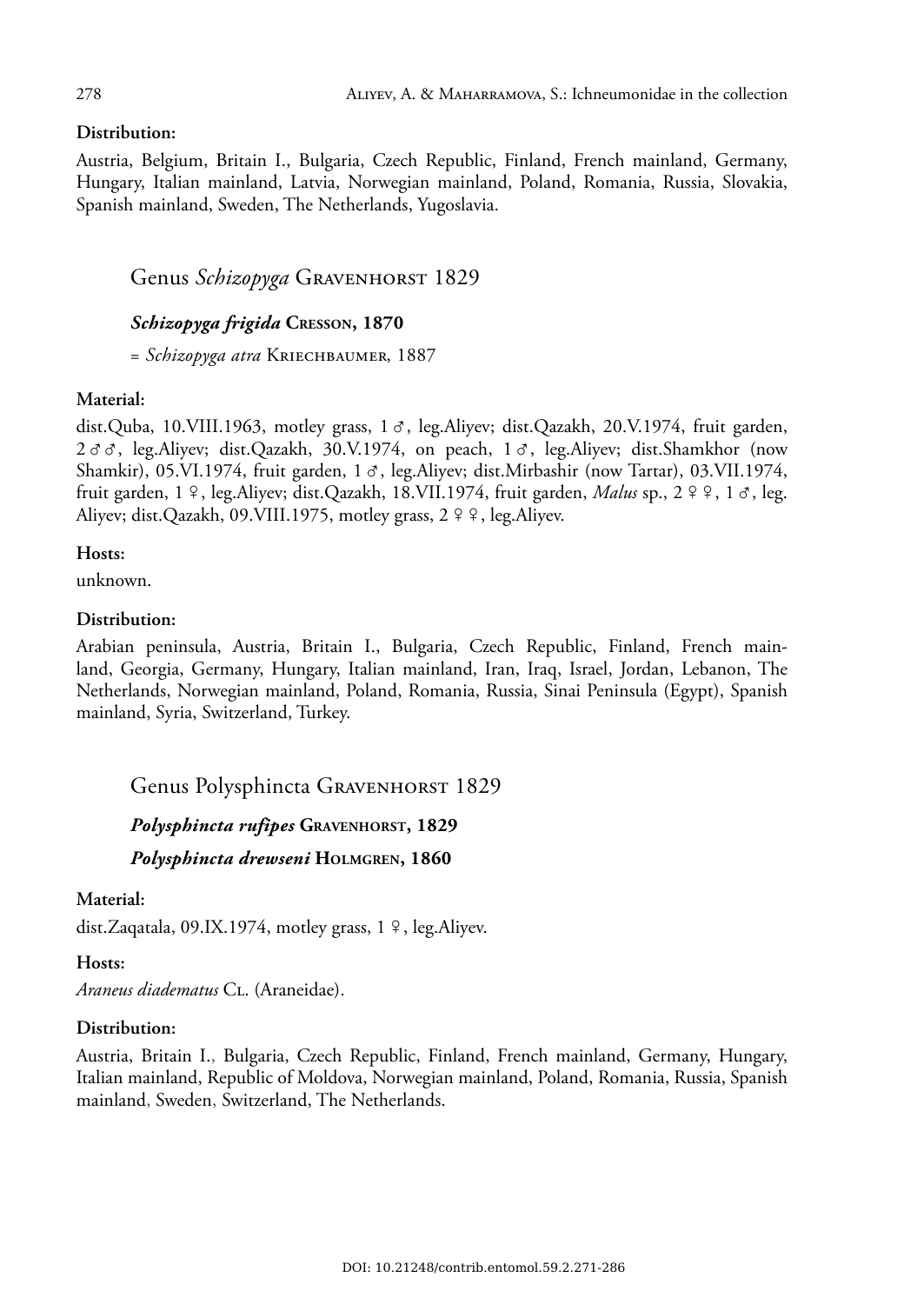## **Distribution:**

Austria, Belgium, Britain I., Bulgaria, Czech Republic, Finland, French mainland, Germany, Hungary, Italian mainland, Latvia, Norwegian mainland, Poland, Romania, Russia, Slovakia, Spanish mainland, Sweden, The Netherlands, Yugoslavia.

## Genus *Schizopyga* GRAVENHORST 1829

## *Schizopyga frigida* **CRESSON, 1870**

= *Schizopyga atra* KRIECHBAUMER, 1887

## **Material:**

dist.Quba, 10.VIII.1963, motley grass,  $1 \sigma$ , leg.Aliyev; dist.Qazakh, 20.V.1974, fruit garden,  $2 \sigma \sigma$ , leg.Aliyev; dist.Qazakh, 30.V.1974, on peach,  $1 \sigma$ , leg.Aliyev; dist.Shamkhor (now Shamkir), 05.VI.1974, fruit garden,  $1 \sigma$ , leg.Aliyev; dist.Mirbashir (now Tartar), 03.VII.1974, fruit garden, 1 º, leg.Aliyev; dist.Qazakh, 18.VII.1974, fruit garden, *Malus* sp., 2 º º, 1 o, leg. Aliyev; dist.Qazakh, 09.VIII.1975, motley grass, 2 º º, leg.Aliyev.

## **Hosts:**

unknown.

## **Distribution:**

Arabian peninsula, Austria, Britain I., Bulgaria, Czech Republic, Finland, French mainland, Georgia, Germany, Hungary, Italian mainland, Iran, Iraq, Israel, Jordan, Lebanon, The Netherlands, Norwegian mainland, Poland, Romania, Russia, Sinai Peninsula (Egypt), Spanish mainland, Syria, Switzerland, Turkey.

## Genus Polysphincta GRAVENHORST 1829

## *Polysphincta rufipes* **GRAVENHORST, 1829**

*Polysphincta drewseni* **HOLMGREN, 1860**

#### **Material:**

dist.Zaqatala, 09.IX.1974, motley grass, 1 º, leg.Aliyev.

#### **Hosts:**

*Araneus diadematus* CL. (Araneidae).

#### **Distribution:**

Austria, Britain I., Bulgaria, Czech Republic, Finland, French mainland, Germany, Hungary, Italian mainland, Republic of Moldova, Norwegian mainland, Poland, Romania, Russia, Spanish mainland, Sweden, Switzerland, The Netherlands.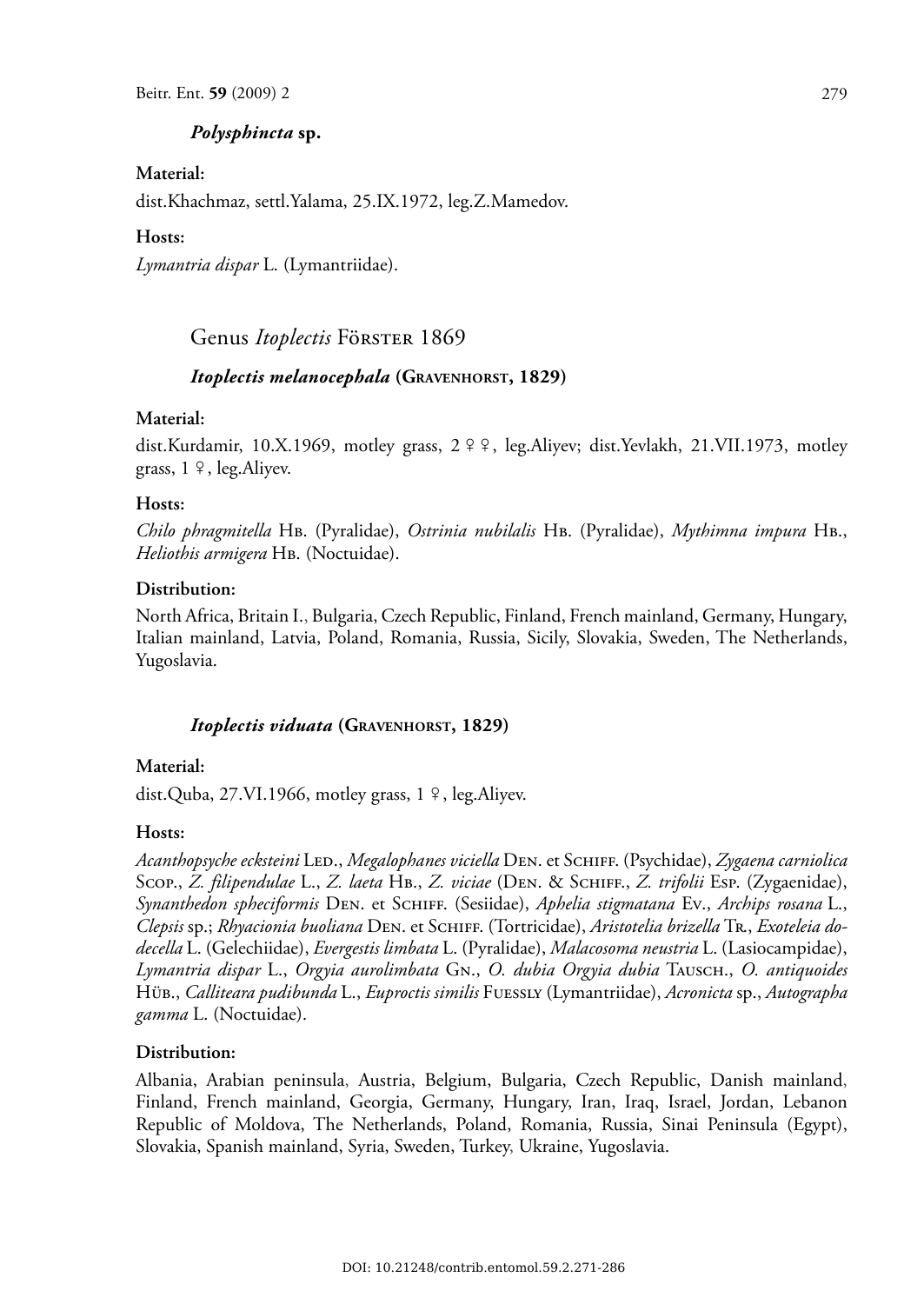### *Polysphincta* **sp.**

#### **Material:**

dist.Khachmaz, settl.Yalama, 25.IX.1972, leg.Z.Mamedov.

#### **Hosts:**

*Lymantria dispar* L. (Lymantriidae).

## Genus *Itoplectis* FöRSTER 1869

#### *Itoplectis melanocephala* **(GRAVENHORST, 1829)**

#### **Material:**

dist.Kurdamir, 10.X.1969, motley grass,  $2 \n9$ , leg.Aliyev; dist.Yevlakh, 21.VII.1973, motley grass,  $1 \n9$ , leg. Aliyev.

#### **Hosts:**

*Chilo phragmitella* HB. (Pyralidae), *Ostrinia nubilalis* HB. (Pyralidae), *Mythimna impura* HB., *Heliothis armigera* HB. (Noctuidae).

#### **Distribution:**

North Africa, Britain I., Bulgaria, Czech Republic, Finland, French mainland, Germany, Hungary, Italian mainland, Latvia, Poland, Romania, Russia, Sicily, Slovakia, Sweden, The Netherlands, Yugoslavia.

#### *Itoplectis viduata* **(GRAVENHORST, 1829)**

#### **Material:**

dist.Quba, 27.VI.1966, motley grass,  $1 \nvert 9$ , leg.Aliyev.

#### **Hosts:**

*Acanthopsyche ecksteini* LED., *Megalophanes viciella* DEN. et SCHIFF. (Psychidae), *Zygaena carniolica* SCOP., *Z. filipendulae* L., *Z. laeta* HB., *Z. viciae* (DEN. & SCHIFF., *Z. trifolii* ESP. (Zygaenidae), *Synanthedon spheciformis* DEN. et SCHIFF. (Sesiidae), *Aphelia stigmatana* EV., *Archips rosana* L., *Clepsis* sp.; *Rhyacionia buoliana* DEN. et SCHIFF. (Tortricidae), *Aristotelia brizella* TR., *Exoteleia dodecella* L. (Gelechiidae), *Evergestis limbata* L. (Pyralidae), *Malacosoma neustria* L. (Lasiocampidae), *Lymantria dispar* L., *Orgyia aurolimbata* GN., *O. dubia Orgyia dubia* TAUSCH., *O. antiquoides* HÜB., *Calliteara pudibunda* L., *Euproctis similis* FUESSLY (Lymantriidae), *Acronicta* sp., *Autographa gamma* L. (Noctuidae).

#### **Distribution:**

Albania, Arabian peninsula, Austria, Belgium, Bulgaria, Czech Republic, Danish mainland, Finland, French mainland, Georgia, Germany, Hungary, Iran, Iraq, Israel, Jordan, Lebanon Republic of Moldova, The Netherlands, Poland, Romania, Russia, Sinai Peninsula (Egypt), Slovakia, Spanish mainland, Syria, Sweden, Turkey, Ukraine, Yugoslavia.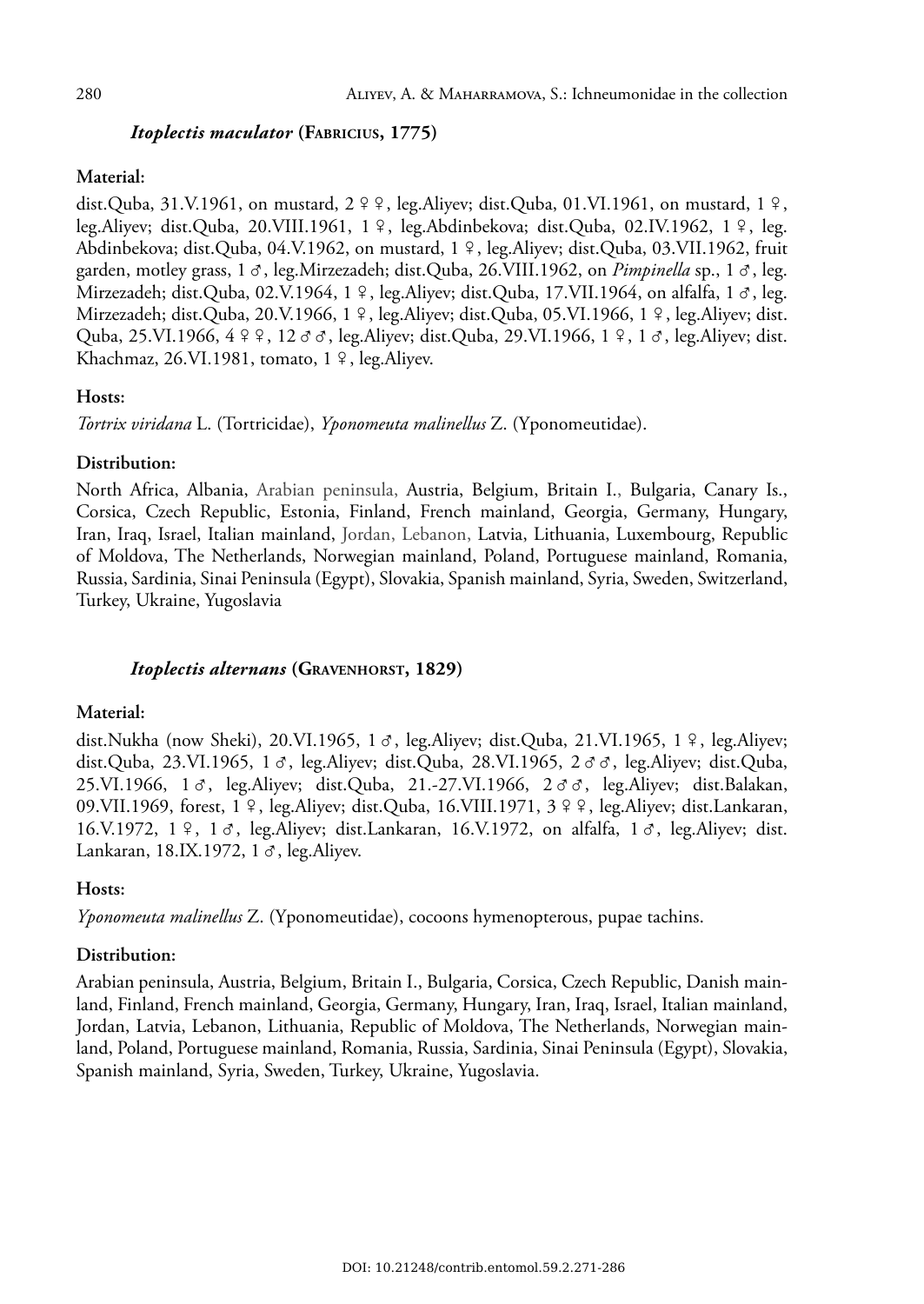## *Itoplectis maculator* **(FABRICIUS, 1775)**

### **Material:**

dist.Quba, 31.V.1961, on mustard,  $2 \nvert 2 \nvert$ , leg.Aliyev; dist.Quba, 01.VI.1961, on mustard,  $1 \nvert 2$ , leg.Aliyev; dist.Quba, 20.VIII.1961, 1 °, leg.Abdinbekova; dist.Quba, 02.IV.1962, 1 °, leg. Abdinbekova; dist.Quba, 04.V.1962, on mustard, 1 º, leg.Aliyev; dist.Quba, 03.VII.1962, fruit garden, motley grass,  $1 \sigma$ , leg.Mirzezadeh; dist.Quba, 26.VIII.1962, on *Pimpinella* sp.,  $1 \sigma$ , leg. Mirzezadeh; dist.Quba, 02.V.1964, 1 º, leg.Aliyev; dist.Quba, 17.VII.1964, on alfalfa, 1  $\sigma$ , leg. Mirzezadeh; dist.Quba, 20.V.1966, 1 º, leg.Aliyev; dist.Quba, 05.VI.1966, 1 º, leg.Aliyev; dist. Quba, 25.VI.1966,  $4 \n9 \n9$ , 12  $\sigma \sigma$ , leg.Aliyev; dist.Quba, 29.VI.1966, 1  $9$ , 1  $\sigma$ , leg.Aliyev; dist. Khachmaz, 26.VI.1981, tomato, 1 º, leg.Aliyev.

## **Hosts:**

*Tortrix viridana* L. (Tortricidae), *Yponomeuta malinellus* Z. (Yponomeutidae).

## **Distribution:**

North Africa, Albania, Arabian peninsula, Austria, Belgium, Britain I., Bulgaria, Canary Is., Corsica, Czech Republic, Estonia, Finland, French mainland, Georgia, Germany, Hungary, Iran, Iraq, Israel, Italian mainland, Jordan, Lebanon, Latvia, Lithuania, Luxembourg, Republic of Moldova, The Netherlands, Norwegian mainland, Poland, Portuguese mainland, Romania, Russia, Sardinia, Sinai Peninsula (Egypt), Slovakia, Spanish mainland, Syria, Sweden, Switzerland, Turkey, Ukraine, Yugoslavia

## *Itoplectis alternans* **(GRAVENHORST, 1829)**

## **Material:**

dist.Nukha (now Sheki), 20.VI.1965, 1  $\sigma$ , leg.Aliyev; dist.Quba, 21.VI.1965, 1  $\varphi$ , leg.Aliyev; dist.Quba, 23.VI.1965, 1  $\sigma$ , leg.Aliyev; dist.Quba, 28.VI.1965, 2  $\sigma$   $\sigma$ , leg.Aliyev; dist.Quba,  $25.VI.1966$ ,  $1 \, \sigma$ , leg.Aliyev; dist.Quba,  $21.27.VI.1966$ ,  $2 \, \sigma \, \sigma$ , leg.Aliyev; dist.Balakan, 09.VII.1969, forest, 1  $\frac{1}{7}$ , leg.Aliyev; dist.Quba, 16.VIII.1971, 3  $\frac{1}{7}$ , leg.Aliyev; dist.Lankaran, 16.V.1972, 1  $\frac{9}{7}$ , 1  $\sigma$ , leg.Aliyev; dist.Lankaran, 16.V.1972, on alfalfa, 1  $\sigma$ , leg.Aliyev; dist. Lankaran, 18.IX.1972, 1 $\sigma$ , leg.Aliyev.

## **Hosts:**

*Yponomeuta malinellus* Z. (Yponomeutidae), cocoons hymenopterous, pupae tachins.

## **Distribution:**

Arabian peninsula, Austria, Belgium, Britain I., Bulgaria, Corsica, Czech Republic, Danish mainland, Finland, French mainland, Georgia, Germany, Hungary, Iran, Iraq, Israel, Italian mainland, Jordan, Latvia, Lebanon, Lithuania, Republic of Moldova, The Netherlands, Norwegian mainland, Poland, Portuguese mainland, Romania, Russia, Sardinia, Sinai Peninsula (Egypt), Slovakia, Spanish mainland, Syria, Sweden, Turkey, Ukraine, Yugoslavia.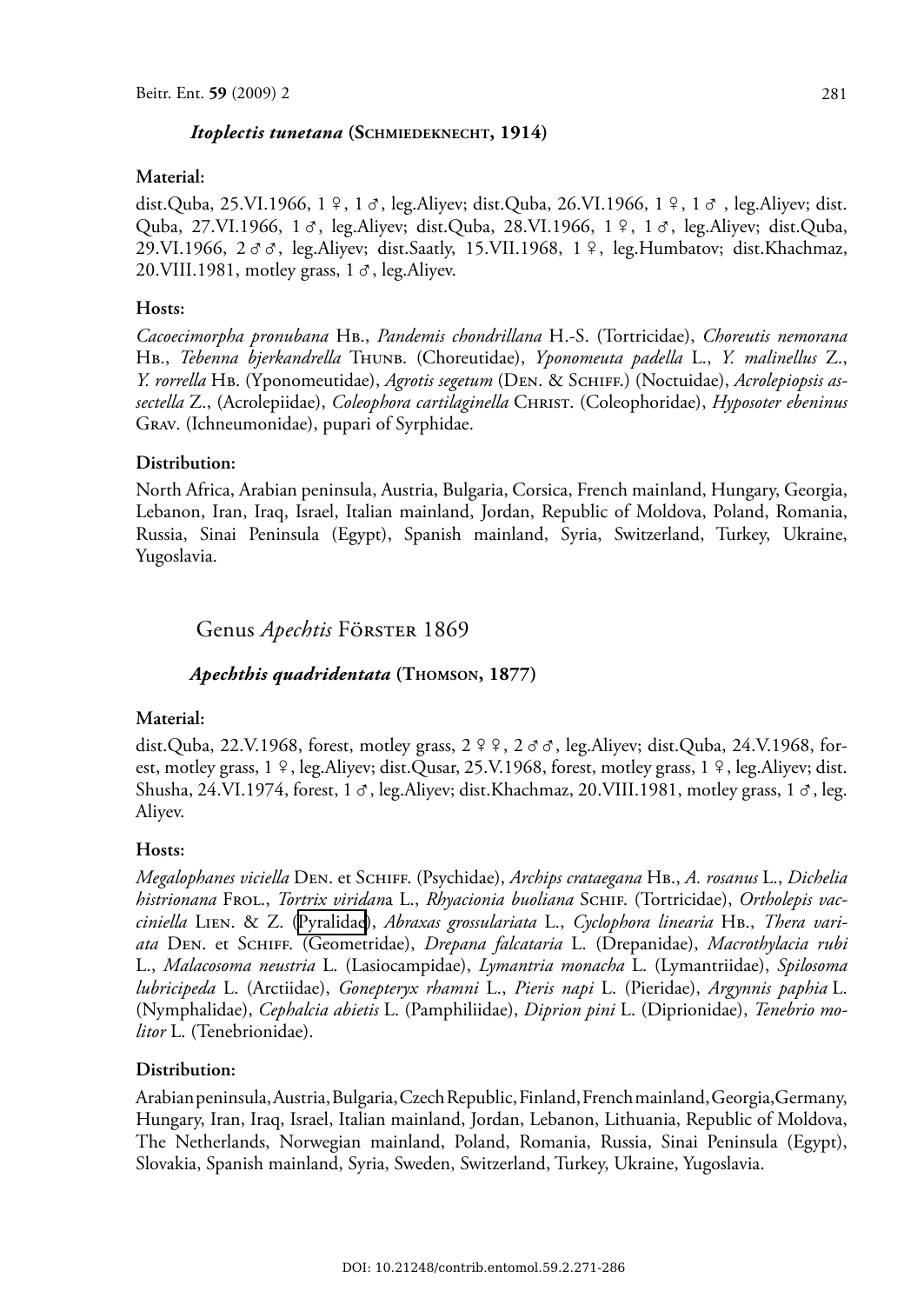#### *Itoplectis tunetana* **(SCHMIEDEKNECHT, 1914)**

#### **Material:**

dist.Quba, 25.VI.1966, 1  $\frac{6}{7}$ , 1  $\sigma$ , leg.Aliyev; dist.Quba, 26.VI.1966, 1  $\frac{6}{7}$ , 1  $\sigma$ , leg.Aliyev; dist. Quba, 27.VI.1966, 1  $\sigma$ , leg.Aliyev; dist.Quba, 28.VI.1966, 1  $\frac{\alpha}{7}$ , 1  $\sigma$ , leg.Aliyev; dist.Quba, 29.VI.1966,  $2 \sigma \sigma$ , leg.Aliyev; dist.Saatly, 15.VII.1968, 1  $\Omega$ , leg.Humbatov; dist.Khachmaz, 20. VIII. 1981, motley grass,  $1 \sigma$ , leg. Aliyev.

#### **Hosts:**

*Cacoecimorpha pronubana* HB., *Pandemis chondrillana* H.-S. (Tortricidae), *Choreutis nemorana* HB., *Tebenna bjerkandrella* THUNB. (Choreutidae), *Yponomeuta padella* L., *Y. malinellus* Z., *Y. rorrella* HB. (Yponomeutidae), *Agrotis segetum* (DEN. & SCHIFF.) (Noctuidae), *Acrolepiopsis assectella* Z., (Acrolepiidae), *Coleophora cartilaginella* CHRIST. (Coleophoridae), *Hyposoter ebeninus* GRAV. (Ichneumonidae), pupari of Syrphidae.

#### **Distribution:**

North Africa, Arabian peninsula, Austria, Bulgaria, Corsica, French mainland, Hungary, Georgia, Lebanon, Iran, Iraq, Israel, Italian mainland, Jordan, Republic of Moldova, Poland, Romania, Russia, Sinai Peninsula (Egypt), Spanish mainland, Syria, Switzerland, Turkey, Ukraine, Yugoslavia.

Genus *Apechtis* FÖRSTER 1869

#### *Apechthis quadridentata* **(THOMSON, 1877)**

#### **Material:**

dist.Quba, 22.V.1968, forest, motley grass,  $2 \nvert 9 \nvert 9$ ,  $2 \sigma \sigma$ , leg.Aliyev; dist.Quba, 24.V.1968, forest, motley grass, 1 °, leg.Aliyev; dist.Qusar, 25.V.1968, forest, motley grass, 1 °, leg.Aliyev; dist. Shusha, 24.VI.1974, forest, 1  $\sigma$ , leg.Aliyev; dist.Khachmaz, 20.VIII.1981, motley grass, 1  $\sigma$ , leg. Aliyev.

#### **Hosts:**

*Megalophanes viciella* DEN. et SCHIFF. (Psychidae), *Archips crataegana* HB., *A. rosanus* L., *Dichelia histrionana* FROL., *Tortrix viridan*a L., *Rhyacionia buoliana* SCHIF. (Tortricidae), *Ortholepis vacciniella* LIEN. & Z. [\(Pyralidae\)](http://www.faunaeur.org/full_results.php?id=5570), *Abraxas grossulariata* L., *Cyclophora linearia* HB., *Thera variata* DEN. et SCHIFF. (Geometridae), *Drepana falcataria* L. (Drepanidae), *Macrothylacia rubi* L., *Malacosoma neustria* L. (Lasiocampidae), *Lymantria monacha* L. (Lymantriidae), *Spilosoma lubricipeda* L. (Arctiidae), *Gonepteryx rhamni* L., *Pieris napi* L. (Pieridae), *Argynnis paphia* L. (Nymphalidae), *Cephalcia abietis* L. (Pamphiliidae), *Diprion pini* L. (Diprionidae), *Tenebrio molitor* L. (Tenebrionidae).

#### **Distribution:**

Arabian peninsula, Austria, Bulgaria, Czech Republic, Finland, French mainland, Georgia,Germany, Hungary, Iran, Iraq, Israel, Italian mainland, Jordan, Lebanon, Lithuania, Republic of Moldova, The Netherlands, Norwegian mainland, Poland, Romania, Russia, Sinai Peninsula (Egypt), Slovakia, Spanish mainland, Syria, Sweden, Switzerland, Turkey, Ukraine, Yugoslavia.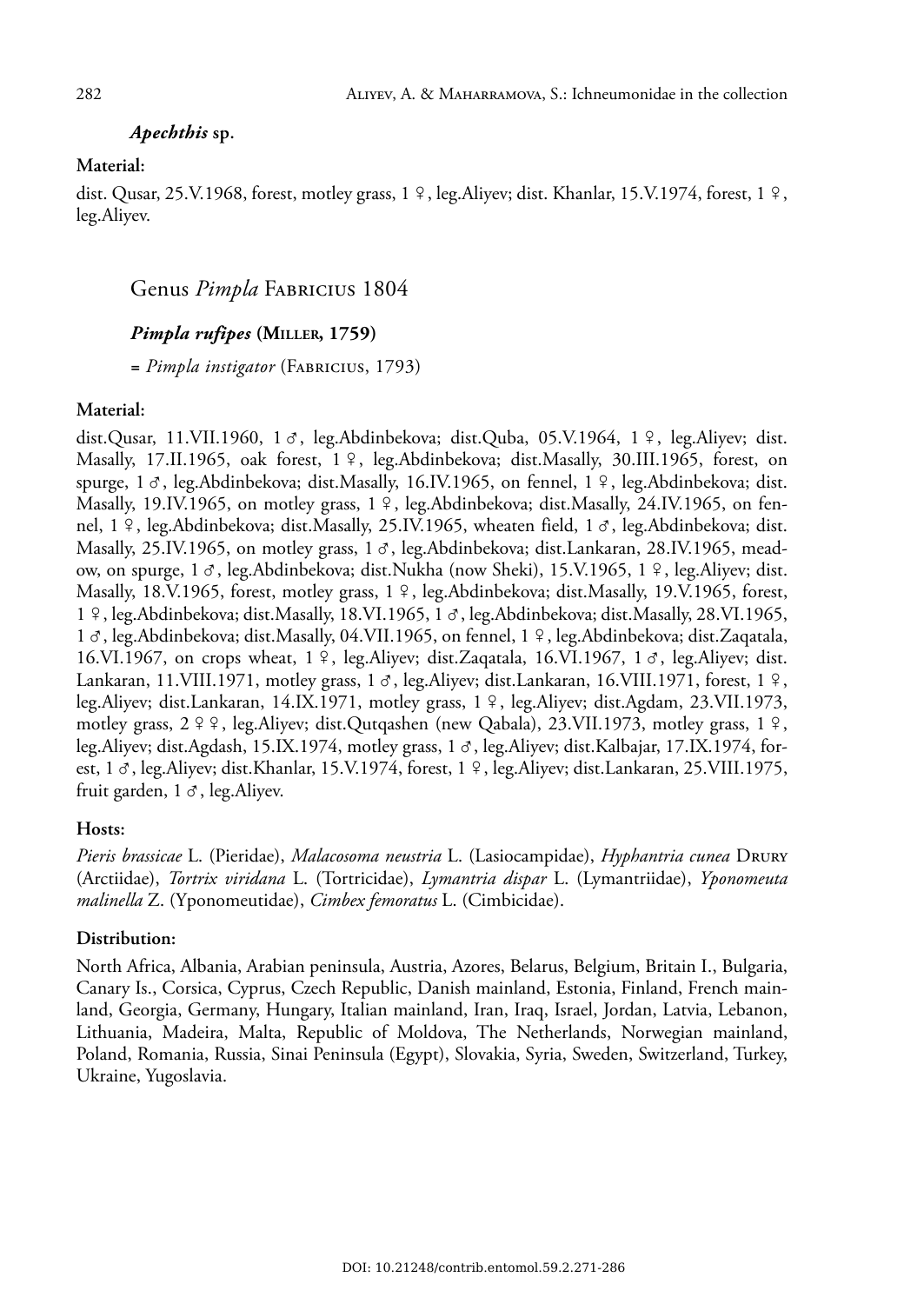## *Apechthis* **sp.**

#### **Material:**

dist. Qusar, 25.V.1968, forest, motley grass, 1  $\frac{9}{5}$ , leg.Aliyev; dist. Khanlar, 15.V.1974, forest, 1  $\frac{9}{5}$ , leg.Aliyev.

## Genus *Pimpla* FABRICIUS 1804

## *Pimpla rufipes* **(MILLER, 1759)**

*= Pimpla instigator* (FABRICIUS, 1793)

#### **Material:**

dist.Qusar, 11.VII.1960, 1  $\sigma$ , leg.Abdinbekova; dist.Quba, 05.V.1964, 1  $\varphi$ , leg.Aliyev; dist. Masally, 17.II.1965, oak forest, 1 º, leg.Abdinbekova; dist.Masally, 30.III.1965, forest, on spurge,  $1 \, \sigma$ , leg.Abdinbekova; dist.Masally, 16.IV.1965, on fennel,  $1 \, \varphi$ , leg.Abdinbekova; dist. Masally, 19.IV.1965, on motley grass, 1 <sup>9</sup>, leg.Abdinbekova; dist.Masally, 24.IV.1965, on fennel, 1 º, leg.Abdinbekova; dist.Masally, 25.IV.1965, wheaten field, 1  $\sigma$ , leg.Abdinbekova; dist. Masally, 25.IV.1965, on motley grass,  $1 \sigma$ , leg.Abdinbekova; dist.Lankaran, 28.IV.1965, meadow, on spurge, 1 &, leg.Abdinbekova; dist.Nukha (now Sheki), 15.V.1965, 1 º, leg.Aliyev; dist. Masally, 18.V.1965, forest, motley grass, 1 º, leg.Abdinbekova; dist.Masally, 19.V.1965, forest, 1 %, leg.Abdinbekova; dist.Masally, 18.VI.1965, 1 &, leg.Abdinbekova; dist.Masally, 28.VI.1965, 1  $\sigma$ , leg.Abdinbekova; dist.Masally, 04.VII.1965, on fennel, 1 º, leg.Abdinbekova; dist.Zaqatala, 16.VI.1967, on crops wheat,  $1 \nvert$ , leg.Aliyev; dist.Zaqatala, 16.VI.1967, 1 $\sigma$ , leg.Aliyev; dist. Lankaran, 11.VIII.1971, motley grass, 1  $\sigma$ , leg.Aliyev; dist.Lankaran, 16.VIII.1971, forest, 1  $\circ$ , leg.Aliyev; dist.Lankaran, 14.IX.1971, motley grass,  $1 \nvert 9$ , leg.Aliyev; dist.Agdam, 23.VII.1973, motley grass,  $2 \frac{9}{5}$ , leg.Aliyev; dist.Qutqashen (new Qabala), 23.VII.1973, motley grass, 1 $\frac{9}{5}$ , leg.Aliyev; dist.Agdash, 15.IX.1974, motley grass, 1  $\sigma$ , leg.Aliyev; dist.Kalbajar, 17.IX.1974, forest, 1  $\sigma$ , leg.Aliyev; dist.Khanlar, 15.V.1974, forest, 1  $\alpha$ , leg.Aliyev; dist.Lankaran, 25.VIII.1975, fruit garden,  $1 \sigma$ , leg. Aliyev.

#### **Hosts:**

*Pieris brassicae* L. (Pieridae), *Malacosoma neustria* L. (Lasiocampidae), *Hyphantria cunea* DRURY (Arctiidae), *Tortrix viridana* L. (Tortricidae), *Lymantria dispar* L. (Lymantriidae), *Yponomeuta malinella* Z. (Yponomeutidae), *Cimbex femoratus* L. (Cimbicidae).

#### **Distribution:**

North Africa, Albania, Arabian peninsula, Austria, Azores, Belarus, Belgium, Britain I., Bulgaria, Canary Is., Corsica, Cyprus, Czech Republic, Danish mainland, Estonia, Finland, French mainland, Georgia, Germany, Hungary, Italian mainland, Iran, Iraq, Israel, Jordan, Latvia, Lebanon, Lithuania, Madeira, Malta, Republic of Moldova, The Netherlands, Norwegian mainland, Poland, Romania, Russia, Sinai Peninsula (Egypt), Slovakia, Syria, Sweden, Switzerland, Turkey, Ukraine, Yugoslavia.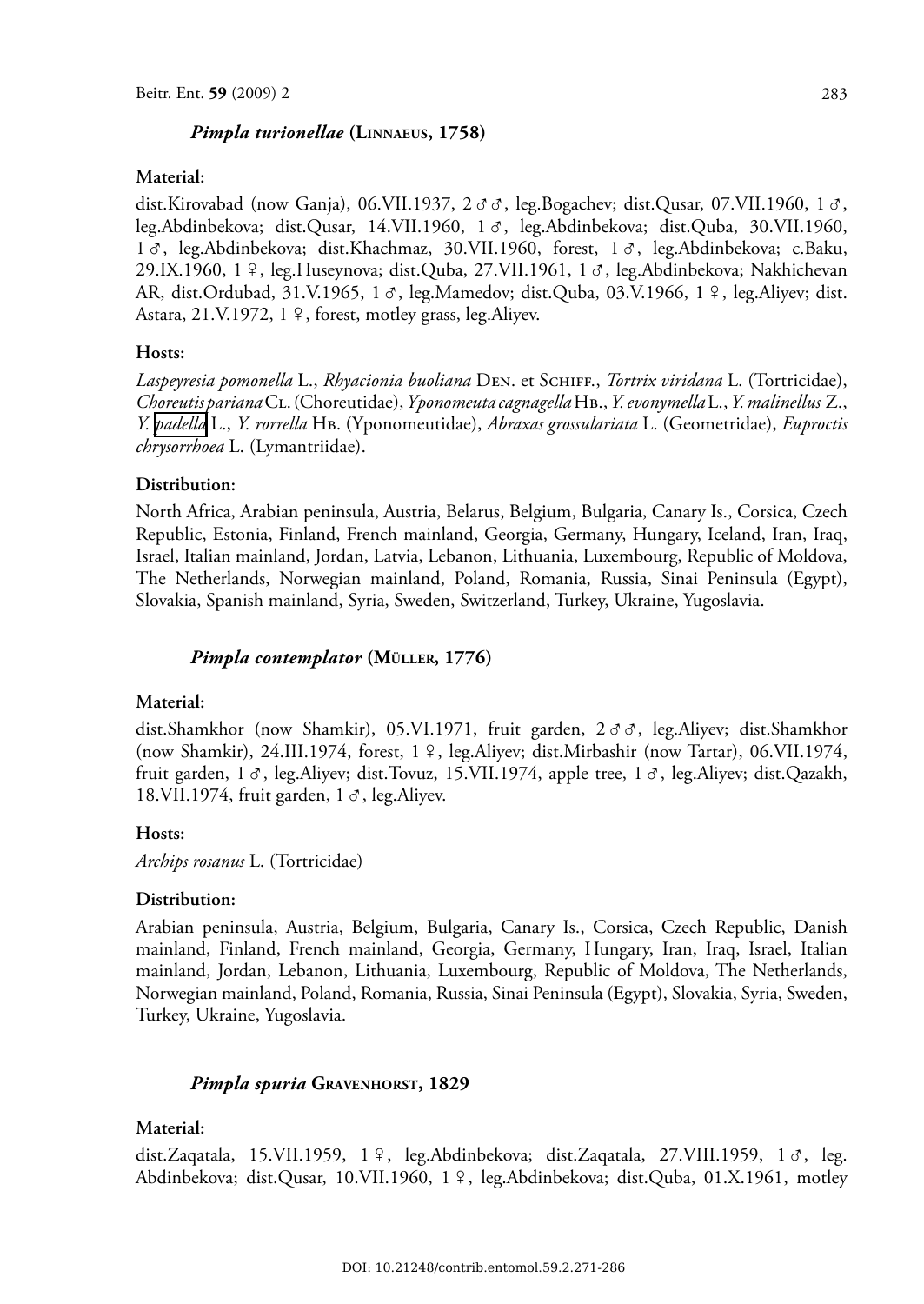#### *Pimpla turionellae* **(LINNAEUS, 1758)**

#### **Material:**

dist.Kirovabad (now Ganja), 06.VII.1937, 2 & &, leg.Bogachev; dist.Qusar, 07.VII.1960, 1 &, leg.Abdinbekova; dist.Qusar, 14.VII.1960, 1 &, leg.Abdinbekova; dist.Quba, 30.VII.1960, 1 &, leg.Abdinbekova; dist.Khachmaz, 30.VII.1960, forest, 1 &, leg.Abdinbekova; c.Baku, 29.IX.1960, 1  $\frac{1}{7}$ , leg.Huseynova; dist.Quba, 27.VII.1961, 1  $\sigma$ , leg.Abdinbekova; Nakhichevan AR, dist.Ordubad, 31.V.1965, 1  $\sigma$ , leg.Mamedov; dist.Quba, 03.V.1966, 1  $\circ$ , leg.Aliyev; dist. Astara,  $21.V.1972$ ,  $1 \n9$ , forest, motley grass, leg. Aliyev.

#### **Hosts:**

*Laspeyresia pomonella* L., *Rhyacionia buoliana* DEN. et SCHIFF., *Tortrix viridana* L. (Tortricidae), *Choreutis pariana*CL. (Choreutidae), *Yponomeuta cagnagella*HB., *Y.evonymella*L., *Y. malinellus* Z., *Y. [padella](http://www.biolib.cz/en/taxon/id45761/)* L., *Y. rorrella* HB. (Yponomeutidae), *Abraxas grossulariata* L. (Geometridae), *Euproctis chrysorrhoea* L. (Lymantriidae).

#### **Distribution:**

North Africa, Arabian peninsula, Austria, Belarus, Belgium, Bulgaria, Canary Is., Corsica, Czech Republic, Estonia, Finland, French mainland, Georgia, Germany, Hungary, Iceland, Iran, Iraq, Israel, Italian mainland, Jordan, Latvia, Lebanon, Lithuania, Luxembourg, Republic of Moldova, The Netherlands, Norwegian mainland, Poland, Romania, Russia, Sinai Peninsula (Egypt), Slovakia, Spanish mainland, Syria, Sweden, Switzerland, Turkey, Ukraine, Yugoslavia.

#### *Pimpla contemplator* **(MÜLLER, 1776)**

#### **Material:**

dist.Shamkhor (now Shamkir), 05.VI.1971, fruit garden, 2 & &, leg.Aliyev; dist.Shamkhor (now Shamkir), 24.III.1974, forest, 1 º, leg.Aliyev; dist.Mirbashir (now Tartar), 06.VII.1974, fruit garden, 1  $\sigma$ , leg.Aliyev; dist.Tovuz, 15.VII.1974, apple tree, 1  $\sigma$ , leg.Aliyev; dist.Qazakh, 18.VII.1974, fruit garden,  $1 \sigma$ , leg.Aliyev.

#### **Hosts:**

*Archips rosanus* L. (Tortricidae)

#### **Distribution:**

Arabian peninsula, Austria, Belgium, Bulgaria, Canary Is., Corsica, Czech Republic, Danish mainland, Finland, French mainland, Georgia, Germany, Hungary, Iran, Iraq, Israel, Italian mainland, Jordan, Lebanon, Lithuania, Luxembourg, Republic of Moldova, The Netherlands, Norwegian mainland, Poland, Romania, Russia, Sinai Peninsula (Egypt), Slovakia, Syria, Sweden, Turkey, Ukraine, Yugoslavia.

#### *Pimpla spuria* **GRAVENHORST, 1829**

#### **Material:**

dist.Zaqatala, 15.VII.1959, 1 º, leg.Abdinbekova; dist.Zaqatala, 27.VIII.1959, 1  $\sigma$ , leg. Abdinbekova; dist.Qusar, 10.VII.1960, 1 º, leg.Abdinbekova; dist.Quba, 01.X.1961, motley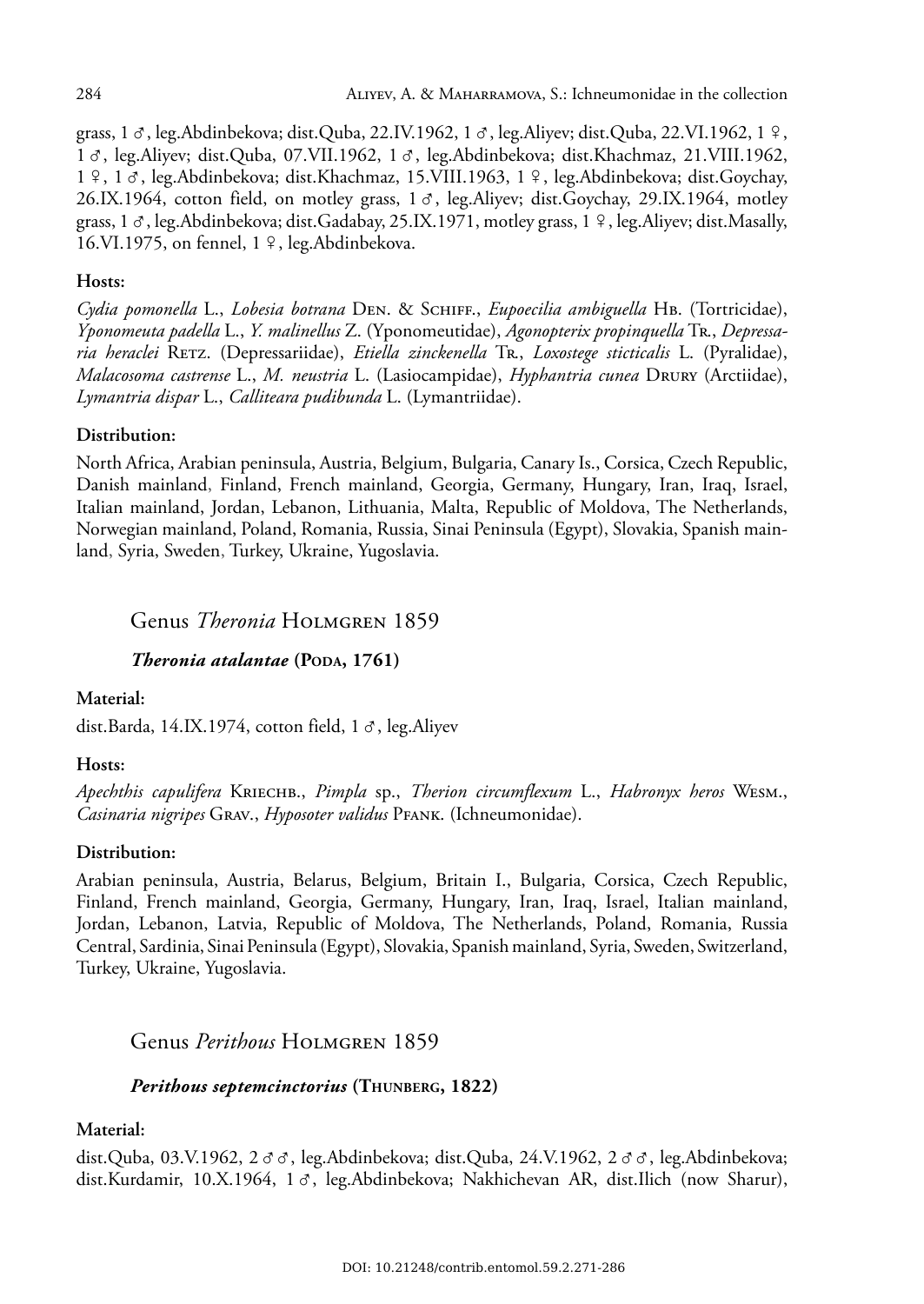grass, 1  $\sigma$ , leg.Abdinbekova; dist.Quba, 22.IV.1962, 1  $\sigma$ , leg.Aliyev; dist.Quba, 22.VI.1962, 1  $\circ$ , 1  $\sigma$ , leg.Aliyev; dist.Quba, 07.VII.1962, 1  $\sigma$ , leg.Abdinbekova; dist.Khachmaz, 21.VIII.1962, 1 º, 1 &, leg.Abdinbekova; dist.Khachmaz, 15.VIII.1963, 1 º, leg.Abdinbekova; dist.Goychay, 26.IX.1964, cotton field, on motley grass,  $1 \, \sigma$ , leg.Aliyev; dist.Goychay, 29.IX.1964, motley grass, 1  $\sigma$ , leg.Abdinbekova; dist.Gadabay, 25.IX.1971, motley grass, 1  $\circ$ , leg.Aliyev; dist.Masally, 16.VI.1975, on fennel,  $1 \n9$ , leg.Abdinbekova.

## **Hosts:**

*Cydia pomonella* L., *Lobesia botrana* DEN. & SCHIFF., *Eupoecilia ambiguella* HB. (Tortricidae), *Yponomeuta padella* L., *Y. malinellus* Z. (Yponomeutidae), *Agonopterix propinquella* TR., *Depressaria heraclei* RETZ. (Depressariidae), *Etiella zinckenella* TR., *Loxostege sticticalis* L. (Pyralidae), *Malacosoma castrense* L., *M. neustria* L. (Lasiocampidae), *Hyphantria cunea* DRURY (Arctiidae), *Lymantria dispar* L., *Calliteara pudibunda* L. (Lymantriidae).

## **Distribution:**

North Africa, Arabian peninsula, Austria, Belgium, Bulgaria, Canary Is., Corsica, Czech Republic, Danish mainland, Finland, French mainland, Georgia, Germany, Hungary, Iran, Iraq, Israel, Italian mainland, Jordan, Lebanon, Lithuania, Malta, Republic of Moldova, The Netherlands, Norwegian mainland, Poland, Romania, Russia, Sinai Peninsula (Egypt), Slovakia, Spanish mainland, Syria, Sweden, Turkey, Ukraine, Yugoslavia.

## Genus *Theronia* HOLMGREN 1859

## *Theronia atalantae* **(PODA, 1761)**

#### **Material:**

dist.Barda, 14.IX.1974, cotton field,  $1 \sigma$ , leg.Aliyev

#### **Hosts:**

*Apechthis capulifera* KRIECHB., *Pimpla* sp., *Therion circumflexum* L., *Habronyx heros* WESM., *Casinaria nigripes* GRAV., *Hyposoter validus* PFANK. (Ichneumonidae).

## **Distribution:**

Arabian peninsula, Austria, Belarus, Belgium, Britain I., Bulgaria, Corsica, Czech Republic, Finland, French mainland, Georgia, Germany, Hungary, Iran, Iraq, Israel, Italian mainland, Jordan, Lebanon, Latvia, Republic of Moldova, The Netherlands, Poland, Romania, Russia Central, Sardinia, Sinai Peninsula (Egypt), Slovakia, Spanish mainland, Syria, Sweden, Switzerland, Turkey, Ukraine, Yugoslavia.

Genus *Perithous* HOLMGREN 1859

## *Perithous septemcinctorius* **(THUNBERG, 1822)**

#### **Material:**

dist.Quba, 03.V.1962,  $2 \sigma \sigma$ , leg.Abdinbekova; dist.Quba, 24.V.1962,  $2 \sigma \sigma$ , leg.Abdinbekova; dist.Kurdamir, 10.X.1964, 1 &, leg.Abdinbekova; Nakhichevan AR, dist.Ilich (now Sharur),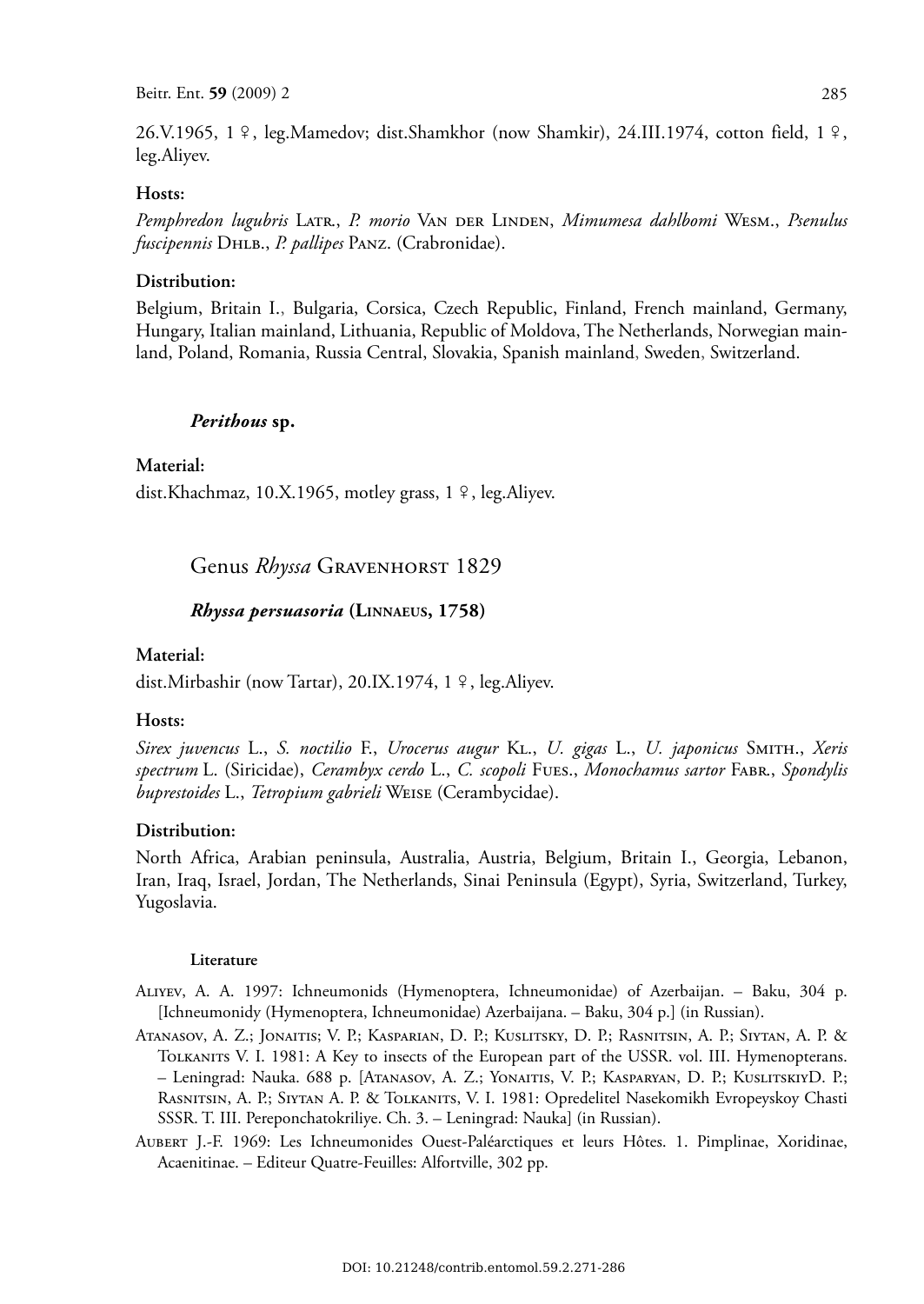26.V.1965, 1  $\frac{9}{7}$ , leg.Mamedov; dist.Shamkhor (now Shamkir), 24.III.1974, cotton field, 1  $\frac{9}{7}$ , leg.Aliyev.

## **Hosts:**

*Pemphredon lugubris* LATR., *P. morio* VAN DER LINDEN, *Mimumesa dahlbomi* WESM., *Psenulus fuscipennis* DHLB., *P. pallipes* PANZ. (Crabronidae).

#### **Distribution:**

Belgium, Britain I., Bulgaria, Corsica, Czech Republic, Finland, French mainland, Germany, Hungary, Italian mainland, Lithuania, Republic of Moldova, The Netherlands, Norwegian mainland, Poland, Romania, Russia Central, Slovakia, Spanish mainland, Sweden, Switzerland.

#### *Perithous* **sp.**

#### **Material:**

dist.Khachmaz, 10.X.1965, motley grass,  $1 \nvert 9$ , leg.Aliyev.

### Genus *Rhyssa* GRAVENHORST 1829

#### *Rhyssa persuasoria* **(LINNAEUS, 1758)**

#### **Material:**

dist.Mirbashir (now Tartar), 20.IX.1974, 1 º, leg.Aliyev.

#### **Hosts:**

*Sirex juvencus* L., *S. noctilio* F., *Urocerus augur* KL., *U. gigas* L., *U. japonicus* SMITH., *Xeris spectrum* L. (Siricidae), *Cerambyx cerdo* L., *C. scopoli* FUES., *Monochamus sartor* FABR., *Spondylis buprestoides* L., *Tetropium gabrieli* WEISE (Cerambycidae).

#### **Distribution:**

North Africa, Arabian peninsula, Australia, Austria, Belgium, Britain I., Georgia, Lebanon, Iran, Iraq, Israel, Jordan, The Netherlands, Sinai Peninsula (Egypt), Syria, Switzerland, Turkey, Yugoslavia.

#### **Literature**

ALIYEV, A. A. 1997: Ichneumonids (Hymenoptera, Ichneumonidae) of Azerbaijan. – Baku, 304 p. [Ichneumonidy (Hymenoptera, Ichneumonidae) Azerbaijana. – Baku, 304 p.] (in Russian).

ATANASOV, A. Z.; JONAITIS; V. P.; KASPARIAN, D. P.; KUSLITSKY, D. P.; RASNITSIN, A. P.; SIYTAN, A. P. & TOLKANITS V. I. 1981: A Key to insects of the European part of the USSR. vol. III. Hymenopterans. – Leningrad: Nauka. 688 p. [ATANASOV, A. Z.; YONAITIS, V. P.; KASPARYAN, D. P.; KUSLITSKIYD. P.; RASNITSIN, A. P.; SIYTAN A. P. & TOLKANITS, V. I. 1981: Opredelitel Nasekomikh Evropeyskoy Chasti SSSR. T. III. Pereponchatokriliye. Ch. 3. – Leningrad: Nauka] (in Russian).

AUBERT J.-F. 1969: Les Ichneumonides Ouest-Paléarctiques et leurs Hôtes. 1. Pimplinae, Xoridinae, Acaenitinae. – Editeur Quatre-Feuilles: Alfortville, 302 pp.